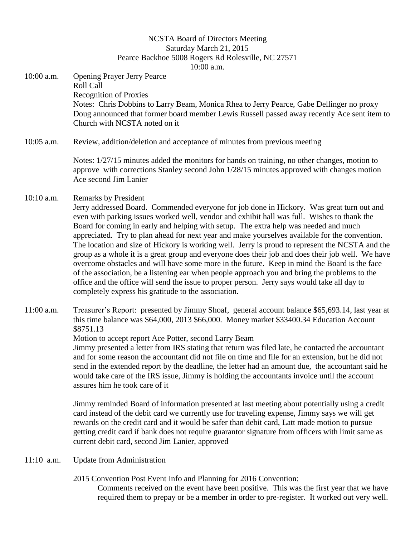## NCSTA Board of Directors Meeting Saturday March 21, 2015 Pearce Backhoe 5008 Rogers Rd Rolesville, NC 27571 10:00 a.m.

10:00 a.m. Opening Prayer Jerry Pearce Roll Call Recognition of Proxies Notes: Chris Dobbins to Larry Beam, Monica Rhea to Jerry Pearce, Gabe Dellinger no proxy Doug announced that former board member Lewis Russell passed away recently Ace sent item to Church with NCSTA noted on it

10:05 a.m. Review, addition/deletion and acceptance of minutes from previous meeting

Notes: 1/27/15 minutes added the monitors for hands on training, no other changes, motion to approve with corrections Stanley second John 1/28/15 minutes approved with changes motion Ace second Jim Lanier

## 10:10 a.m. Remarks by President

- Jerry addressed Board. Commended everyone for job done in Hickory. Was great turn out and even with parking issues worked well, vendor and exhibit hall was full. Wishes to thank the Board for coming in early and helping with setup. The extra help was needed and much appreciated. Try to plan ahead for next year and make yourselves available for the convention. The location and size of Hickory is working well. Jerry is proud to represent the NCSTA and the group as a whole it is a great group and everyone does their job and does their job well. We have overcome obstacles and will have some more in the future. Keep in mind the Board is the face of the association, be a listening ear when people approach you and bring the problems to the office and the office will send the issue to proper person. Jerry says would take all day to completely express his gratitude to the association.
- 11:00 a.m. Treasurer's Report: presented by Jimmy Shoaf, general account balance \$65,693.14, last year at this time balance was \$64,000, 2013 \$66,000. Money market \$33400.34 Education Account \$8751.13

Motion to accept report Ace Potter, second Larry Beam

Jimmy presented a letter from IRS stating that return was filed late, he contacted the accountant and for some reason the accountant did not file on time and file for an extension, but he did not send in the extended report by the deadline, the letter had an amount due, the accountant said he would take care of the IRS issue, Jimmy is holding the accountants invoice until the account assures him he took care of it

Jimmy reminded Board of information presented at last meeting about potentially using a credit card instead of the debit card we currently use for traveling expense, Jimmy says we will get rewards on the credit card and it would be safer than debit card, Latt made motion to pursue getting credit card if bank does not require guarantor signature from officers with limit same as current debit card, second Jim Lanier, approved

- 11:10 a.m. Update from Administration
	- 2015 Convention Post Event Info and Planning for 2016 Convention:

Comments received on the event have been positive. This was the first year that we have required them to prepay or be a member in order to pre-register. It worked out very well.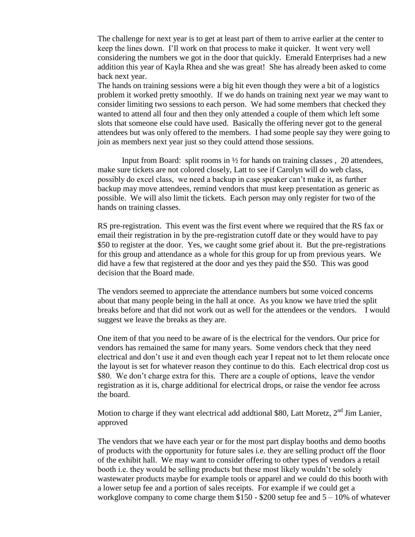The challenge for next year is to get at least part of them to arrive earlier at the center to keep the lines down. I'll work on that process to make it quicker. It went very well considering the numbers we got in the door that quickly. Emerald Enterprises had a new addition this year of Kayla Rhea and she was great! She has already been asked to come back next year.

The hands on training sessions were a big hit even though they were a bit of a logistics problem it worked pretty smoothly. If we do hands on training next year we may want to consider limiting two sessions to each person. We had some members that checked they wanted to attend all four and then they only attended a couple of them which left some slots that someone else could have used. Basically the offering never got to the general attendees but was only offered to the members. I had some people say they were going to join as members next year just so they could attend those sessions.

Input from Board: split rooms in  $\frac{1}{2}$  for hands on training classes, 20 attendees, make sure tickets are not colored closely, Latt to see if Carolyn will do web class, possibly do excel class, we need a backup in case speaker can't make it, as further backup may move attendees, remind vendors that must keep presentation as generic as possible. We will also limit the tickets. Each person may only register for two of the hands on training classes.

RS pre-registration. This event was the first event where we required that the RS fax or email their registration in by the pre-registration cutoff date or they would have to pay \$50 to register at the door. Yes, we caught some grief about it. But the pre-registrations for this group and attendance as a whole for this group for up from previous years. We did have a few that registered at the door and yes they paid the \$50. This was good decision that the Board made.

The vendors seemed to appreciate the attendance numbers but some voiced concerns about that many people being in the hall at once. As you know we have tried the split breaks before and that did not work out as well for the attendees or the vendors. I would suggest we leave the breaks as they are.

One item of that you need to be aware of is the electrical for the vendors. Our price for vendors has remained the same for many years. Some vendors check that they need electrical and don't use it and even though each year I repeat not to let them relocate once the layout is set for whatever reason they continue to do this. Each electrical drop cost us \$80. We don't charge extra for this. There are a couple of options, leave the vendor registration as it is, charge additional for electrical drops, or raise the vendor fee across the board.

Motion to charge if they want electrical add addtional \$80, Latt Moretz,  $2<sup>nd</sup>$  Jim Lanier, approved

The vendors that we have each year or for the most part display booths and demo booths of products with the opportunity for future sales i.e. they are selling product off the floor of the exhibit hall. We may want to consider offering to other types of vendors a retail booth i.e. they would be selling products but these most likely wouldn't be solely wastewater products maybe for example tools or apparel and we could do this booth with a lower setup fee and a portion of sales receipts. For example if we could get a workglove company to come charge them  $$150 - $200$  setup fee and  $5 - 10\%$  of whatever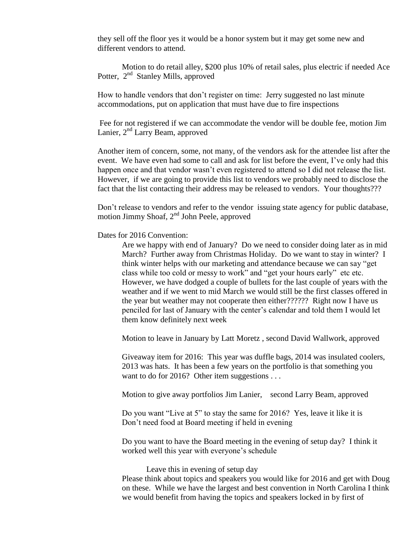they sell off the floor yes it would be a honor system but it may get some new and different vendors to attend.

Motion to do retail alley, \$200 plus 10% of retail sales, plus electric if needed Ace Potter, 2<sup>nd</sup> Stanley Mills, approved

How to handle vendors that don't register on time: Jerry suggested no last minute accommodations, put on application that must have due to fire inspections

Fee for not registered if we can accommodate the vendor will be double fee, motion Jim Lanier, 2<sup>nd</sup> Larry Beam, approved

Another item of concern, some, not many, of the vendors ask for the attendee list after the event. We have even had some to call and ask for list before the event, I've only had this happen once and that vendor wasn't even registered to attend so I did not release the list. However, if we are going to provide this list to vendors we probably need to disclose the fact that the list contacting their address may be released to vendors. Your thoughts???

Don't release to vendors and refer to the vendor issuing state agency for public database, motion Jimmy Shoaf,  $2^{nd}$  John Peele, approved

### Dates for 2016 Convention:

Are we happy with end of January? Do we need to consider doing later as in mid March? Further away from Christmas Holiday. Do we want to stay in winter? I think winter helps with our marketing and attendance because we can say "get class while too cold or messy to work" and "get your hours early" etc etc. However, we have dodged a couple of bullets for the last couple of years with the weather and if we went to mid March we would still be the first classes offered in the year but weather may not cooperate then either?????? Right now I have us penciled for last of January with the center's calendar and told them I would let them know definitely next week

Motion to leave in January by Latt Moretz , second David Wallwork, approved

Giveaway item for 2016: This year was duffle bags, 2014 was insulated coolers, 2013 was hats. It has been a few years on the portfolio is that something you want to do for 2016? Other item suggestions . . .

Motion to give away portfolios Jim Lanier, second Larry Beam, approved

Do you want "Live at 5" to stay the same for 2016? Yes, leave it like it is Don't need food at Board meeting if held in evening

Do you want to have the Board meeting in the evening of setup day? I think it worked well this year with everyone's schedule

#### Leave this in evening of setup day

Please think about topics and speakers you would like for 2016 and get with Doug on these. While we have the largest and best convention in North Carolina I think we would benefit from having the topics and speakers locked in by first of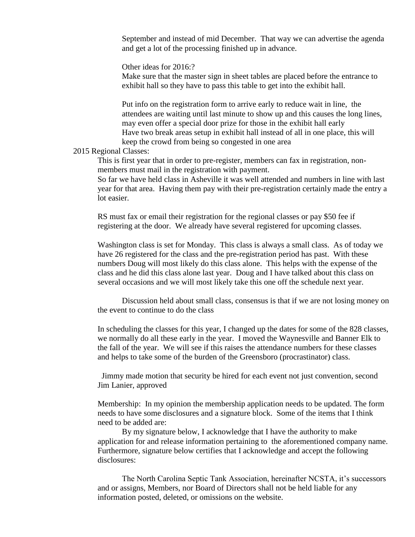September and instead of mid December. That way we can advertise the agenda and get a lot of the processing finished up in advance.

Other ideas for 2016:?

Make sure that the master sign in sheet tables are placed before the entrance to exhibit hall so they have to pass this table to get into the exhibit hall.

Put info on the registration form to arrive early to reduce wait in line, the attendees are waiting until last minute to show up and this causes the long lines, may even offer a special door prize for those in the exhibit hall early Have two break areas setup in exhibit hall instead of all in one place, this will keep the crowd from being so congested in one area

### 2015 Regional Classes:

This is first year that in order to pre-register, members can fax in registration, nonmembers must mail in the registration with payment.

So far we have held class in Asheville it was well attended and numbers in line with last year for that area. Having them pay with their pre-registration certainly made the entry a lot easier.

RS must fax or email their registration for the regional classes or pay \$50 fee if registering at the door. We already have several registered for upcoming classes.

Washington class is set for Monday. This class is always a small class. As of today we have 26 registered for the class and the pre-registration period has past. With these numbers Doug will most likely do this class alone. This helps with the expense of the class and he did this class alone last year. Doug and I have talked about this class on several occasions and we will most likely take this one off the schedule next year.

Discussion held about small class, consensus is that if we are not losing money on the event to continue to do the class

In scheduling the classes for this year, I changed up the dates for some of the 828 classes, we normally do all these early in the year. I moved the Waynesville and Banner Elk to the fall of the year. We will see if this raises the attendance numbers for these classes and helps to take some of the burden of the Greensboro (procrastinator) class.

Jimmy made motion that security be hired for each event not just convention, second Jim Lanier, approved

Membership: In my opinion the membership application needs to be updated. The form needs to have some disclosures and a signature block. Some of the items that I think need to be added are:

By my signature below, I acknowledge that I have the authority to make application for and release information pertaining to the aforementioned company name. Furthermore, signature below certifies that I acknowledge and accept the following disclosures:

The North Carolina Septic Tank Association, hereinafter NCSTA, it's successors and or assigns, Members, nor Board of Directors shall not be held liable for any information posted, deleted, or omissions on the website.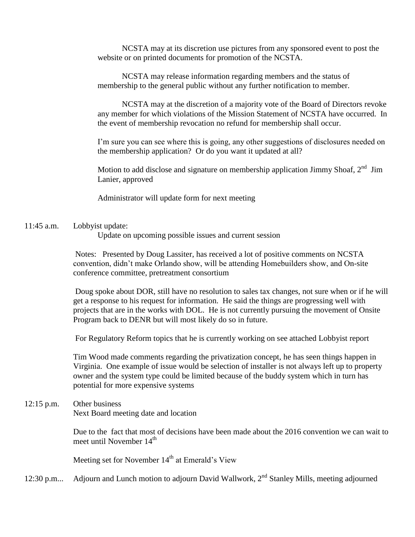NCSTA may at its discretion use pictures from any sponsored event to post the website or on printed documents for promotion of the NCSTA.

NCSTA may release information regarding members and the status of membership to the general public without any further notification to member.

NCSTA may at the discretion of a majority vote of the Board of Directors revoke any member for which violations of the Mission Statement of NCSTA have occurred. In the event of membership revocation no refund for membership shall occur.

I'm sure you can see where this is going, any other suggestions of disclosures needed on the membership application? Or do you want it updated at all?

Motion to add disclose and signature on membership application Jimmy Shoaf,  $2<sup>nd</sup>$  Jim Lanier, approved

Administrator will update form for next meeting

11:45 a.m. Lobbyist update:

Update on upcoming possible issues and current session

Notes: Presented by Doug Lassiter, has received a lot of positive comments on NCSTA convention, didn't make Orlando show, will be attending Homebuilders show, and On-site conference committee, pretreatment consortium

Doug spoke about DOR, still have no resolution to sales tax changes, not sure when or if he will get a response to his request for information. He said the things are progressing well with projects that are in the works with DOL. He is not currently pursuing the movement of Onsite Program back to DENR but will most likely do so in future.

For Regulatory Reform topics that he is currently working on see attached Lobbyist report

Tim Wood made comments regarding the privatization concept, he has seen things happen in Virginia. One example of issue would be selection of installer is not always left up to property owner and the system type could be limited because of the buddy system which in turn has potential for more expensive systems

# 12:15 p.m. Other business Next Board meeting date and location

Due to the fact that most of decisions have been made about the 2016 convention we can wait to meet until November  $14<sup>th</sup>$ 

Meeting set for November  $14<sup>th</sup>$  at Emerald's View

12:30 p.m... Adjourn and Lunch motion to adjourn David Wallwork,  $2<sup>nd</sup>$  Stanley Mills, meeting adjourned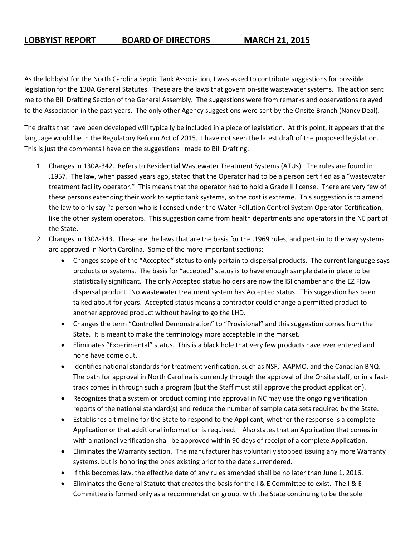# **LOBBYIST REPORT BOARD OF DIRECTORS MARCH 21, 2015**

As the lobbyist for the North Carolina Septic Tank Association, I was asked to contribute suggestions for possible legislation for the 130A General Statutes. These are the laws that govern on-site wastewater systems. The action sent me to the Bill Drafting Section of the General Assembly. The suggestions were from remarks and observations relayed to the Association in the past years. The only other Agency suggestions were sent by the Onsite Branch (Nancy Deal).

The drafts that have been developed will typically be included in a piece of legislation. At this point, it appears that the language would be in the Regulatory Reform Act of 2015. I have not seen the latest draft of the proposed legislation. This is just the comments I have on the suggestions I made to Bill Drafting.

- 1. Changes in 130A-342. Refers to Residential Wastewater Treatment Systems (ATUs). The rules are found in .1957. The law, when passed years ago, stated that the Operator had to be a person certified as a "wastewater treatment **facility** operator." This means that the operator had to hold a Grade II license. There are very few of these persons extending their work to septic tank systems, so the cost is extreme. This suggestion is to amend the law to only say "a person who is licensed under the Water Pollution Control System Operator Certification, like the other system operators. This suggestion came from health departments and operators in the NE part of the State.
- 2. Changes in 130A-343. These are the laws that are the basis for the .1969 rules, and pertain to the way systems are approved in North Carolina. Some of the more important sections:
	- Changes scope of the "Accepted" status to only pertain to dispersal products. The current language says products or systems. The basis for "accepted" status is to have enough sample data in place to be statistically significant. The only Accepted status holders are now the ISI chamber and the EZ Flow dispersal product. No wastewater treatment system has Accepted status. This suggestion has been talked about for years. Accepted status means a contractor could change a permitted product to another approved product without having to go the LHD.
	- Changes the term "Controlled Demonstration" to "Provisional" and this suggestion comes from the State. It is meant to make the terminology more acceptable in the market.
	- Eliminates "Experimental" status. This is a black hole that very few products have ever entered and none have come out.
	- Identifies national standards for treatment verification, such as NSF, IAAPMO, and the Canadian BNQ. The path for approval in North Carolina is currently through the approval of the Onsite staff, or in a fasttrack comes in through such a program (but the Staff must still approve the product application).
	- Recognizes that a system or product coming into approval in NC may use the ongoing verification reports of the national standard(s) and reduce the number of sample data sets required by the State.
	- Establishes a timeline for the State to respond to the Applicant, whether the response is a complete Application or that additional information is required. Also states that an Application that comes in with a national verification shall be approved within 90 days of receipt of a complete Application.
	- Eliminates the Warranty section. The manufacturer has voluntarily stopped issuing any more Warranty systems, but is honoring the ones existing prior to the date surrendered.
	- If this becomes law, the effective date of any rules amended shall be no later than June 1, 2016.
	- Eliminates the General Statute that creates the basis for the I & E Committee to exist. The I & E Committee is formed only as a recommendation group, with the State continuing to be the sole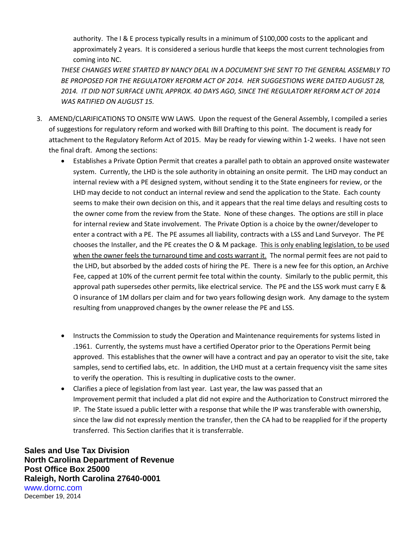authority. The I & E process typically results in a minimum of \$100,000 costs to the applicant and approximately 2 years. It is considered a serious hurdle that keeps the most current technologies from coming into NC.

*THESE CHANGES WERE STARTED BY NANCY DEAL IN A DOCUMENT SHE SENT TO THE GENERAL ASSEMBLY TO BE PROPOSED FOR THE REGULATORY REFORM ACT OF 2014. HER SUGGESTIONS WERE DATED AUGUST 28, 2014. IT DID NOT SURFACE UNTIL APPROX. 40 DAYS AGO, SINCE THE REGULATORY REFORM ACT OF 2014 WAS RATIFIED ON AUGUST 15.*

- 3. AMEND/CLARIFICATIONS TO ONSITE WW LAWS. Upon the request of the General Assembly, I compiled a series of suggestions for regulatory reform and worked with Bill Drafting to this point. The document is ready for attachment to the Regulatory Reform Act of 2015. May be ready for viewing within 1-2 weeks. I have not seen the final draft. Among the sections:
	- Establishes a Private Option Permit that creates a parallel path to obtain an approved onsite wastewater system. Currently, the LHD is the sole authority in obtaining an onsite permit. The LHD may conduct an internal review with a PE designed system, without sending it to the State engineers for review, or the LHD may decide to not conduct an internal review and send the application to the State. Each county seems to make their own decision on this, and it appears that the real time delays and resulting costs to the owner come from the review from the State. None of these changes. The options are still in place for internal review and State involvement. The Private Option is a choice by the owner/developer to enter a contract with a PE. The PE assumes all liability, contracts with a LSS and Land Surveyor. The PE chooses the Installer, and the PE creates the O & M package. This is only enabling legislation, to be used when the owner feels the turnaround time and costs warrant it. The normal permit fees are not paid to the LHD, but absorbed by the added costs of hiring the PE. There is a new fee for this option, an Archive Fee, capped at 10% of the current permit fee total within the county. Similarly to the public permit, this approval path supersedes other permits, like electrical service. The PE and the LSS work must carry E & O insurance of 1M dollars per claim and for two years following design work. Any damage to the system resulting from unapproved changes by the owner release the PE and LSS.
	- Instructs the Commission to study the Operation and Maintenance requirements for systems listed in .1961. Currently, the systems must have a certified Operator prior to the Operations Permit being approved. This establishes that the owner will have a contract and pay an operator to visit the site, take samples, send to certified labs, etc. In addition, the LHD must at a certain frequency visit the same sites to verify the operation. This is resulting in duplicative costs to the owner.
	- Clarifies a piece of legislation from last year. Last year, the law was passed that an Improvement permit that included a plat did not expire and the Authorization to Construct mirrored the IP. The State issued a public letter with a response that while the IP was transferable with ownership, since the law did not expressly mention the transfer, then the CA had to be reapplied for if the property transferred. This Section clarifies that it is transferrable.

**Sales and Use Tax Division North Carolina Department of Revenue Post Office Box 25000 Raleigh, North Carolina 27640-0001** www.dornc.com December 19, 2014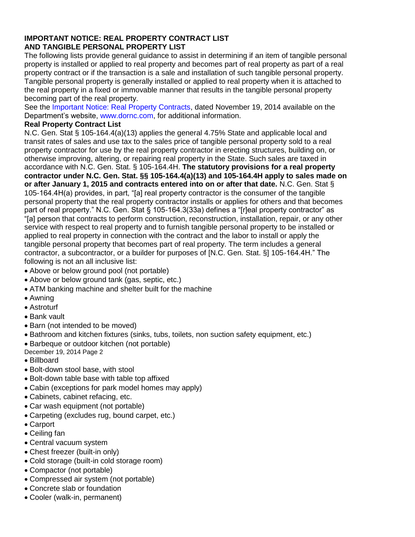## **IMPORTANT NOTICE: REAL PROPERTY CONTRACT LIST AND TANGIBLE PERSONAL PROPERTY LIST**

The following lists provide general guidance to assist in determining if an item of tangible personal property is installed or applied to real property and becomes part of real property as part of a real property contract or if the transaction is a sale and installation of such tangible personal property. Tangible personal property is generally installed or applied to real property when it is attached to the real property in a fixed or immovable manner that results in the tangible personal property becoming part of the real property.

See the Important Notice: Real Property Contracts, dated November 19, 2014 available on the Department's website, www.dornc.com, for additional information.

# **Real Property Contract List**

N.C. Gen. Stat § 105-164.4(a)(13) applies the general 4.75% State and applicable local and transit rates of sales and use tax to the sales price of tangible personal property sold to a real property contractor for use by the real property contractor in erecting structures, building on, or otherwise improving, altering, or repairing real property in the State. Such sales are taxed in accordance with N.C. Gen. Stat. § 105-164.4H. **The statutory provisions for a real property contractor under N.C. Gen. Stat. §§ 105-164.4(a)(13) and 105-164.4H apply to sales made on or after January 1, 2015 and contracts entered into on or after that date.** N.C. Gen. Stat § 105-164.4H(a) provides, in part, "[a] real property contractor is the consumer of the tangible personal property that the real property contractor installs or applies for others and that becomes part of real property." N.C. Gen. Stat § 105-164.3(33a) defines a "[r]eal property contractor" as "[a] person that contracts to perform construction, reconstruction, installation, repair, or any other service with respect to real property and to furnish tangible personal property to be installed or applied to real property in connection with the contract and the labor to install or apply the tangible personal property that becomes part of real property. The term includes a general contractor, a subcontractor, or a builder for purposes of [N.C. Gen. Stat. §] 105-164.4H." The following is not an all inclusive list:

- Above or below ground pool (not portable)
- Above or below ground tank (gas, septic, etc.)
- ATM banking machine and shelter built for the machine
- Awning
- Astroturf
- Bank vault
- Barn (not intended to be moved)
- Bathroom and kitchen fixtures (sinks, tubs, toilets, non suction safety equipment, etc.)
- Barbeque or outdoor kitchen (not portable)
- December 19, 2014 Page 2
- Billboard
- Bolt-down stool base, with stool
- Bolt-down table base with table top affixed
- Cabin (exceptions for park model homes may apply)
- Cabinets, cabinet refacing, etc.
- Car wash equipment (not portable)
- Carpeting (excludes rug, bound carpet, etc.)
- Carport
- Ceiling fan
- Central vacuum system
- Chest freezer (built-in only)
- Cold storage (built-in cold storage room)
- Compactor (not portable)
- Compressed air system (not portable)
- Concrete slab or foundation
- Cooler (walk-in, permanent)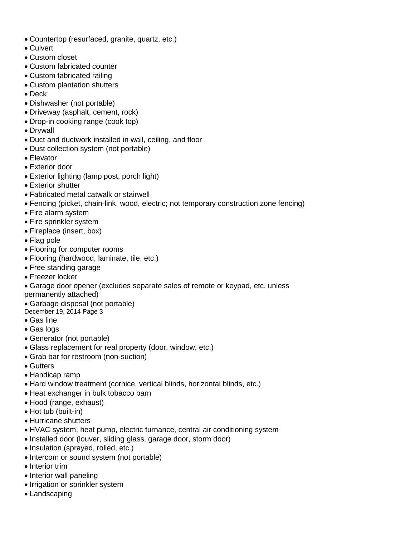- Countertop (resurfaced, granite, quartz, etc.)
- Culvert
- Custom closet
- Custom fabricated counter
- Custom fabricated railing
- Custom plantation shutters
- Deck
- Dishwasher (not portable)
- Driveway (asphalt, cement, rock)
- Drop-in cooking range (cook top)
- Drywall
- Duct and ductwork installed in wall, ceiling, and floor
- Dust collection system (not portable)
- Elevator
- Exterior door
- Exterior lighting (lamp post, porch light)
- Exterior shutter
- Fabricated metal catwalk or stairwell
- Fencing (picket, chain-link, wood, electric; not temporary construction zone fencing)
- Fire alarm system
- Fire sprinkler system
- Fireplace (insert, box)
- Flag pole
- Flooring for computer rooms
- Flooring (hardwood, laminate, tile, etc.)
- Free standing garage
- Freezer locker
- Garage door opener (excludes separate sales of remote or keypad, etc. unless permanently attached)
- Garbage disposal (not portable)
- December 19, 2014 Page 3
- Gas line
- Gas logs
- Generator (not portable)
- Glass replacement for real property (door, window, etc.)
- Grab bar for restroom (non-suction)
- Gutters
- Handicap ramp
- Hard window treatment (cornice, vertical blinds, horizontal blinds, etc.)
- Heat exchanger in bulk tobacco barn
- Hood (range, exhaust)
- Hot tub (built-in)
- Hurricane shutters
- HVAC system, heat pump, electric furnance, central air conditioning system
- Installed door (louver, sliding glass, garage door, storm door)
- Insulation (sprayed, rolled, etc.)
- Intercom or sound system (not portable)
- Interior trim
- Interior wall paneling
- Irrigation or sprinkler system
- Landscaping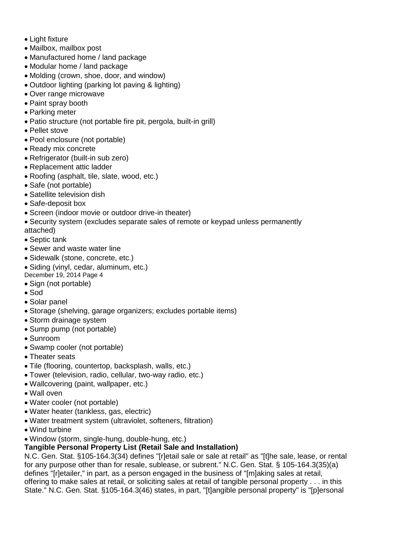- Light fixture
- Mailbox, mailbox post
- Manufactured home / land package
- Modular home / land package
- Molding (crown, shoe, door, and window)
- Outdoor lighting (parking lot paving & lighting)
- Over range microwave
- Paint spray booth
- Parking meter
- Patio structure (not portable fire pit, pergola, built-in grill)
- Pellet stove
- Pool enclosure (not portable)
- Ready mix concrete
- Refrigerator (built-in sub zero)
- Replacement attic ladder
- Roofing (asphalt, tile, slate, wood, etc.)
- Safe (not portable)
- Satellite television dish
- Safe-deposit box
- Screen (indoor movie or outdoor drive-in theater)
- Security system (excludes separate sales of remote or keypad unless permanently attached)
- Septic tank
- Sewer and waste water line
- Sidewalk (stone, concrete, etc.)
- Siding (vinyl, cedar, aluminum, etc.)
- December 19, 2014 Page 4
- Sign (not portable)
- Sod
- Solar panel
- Storage (shelving, garage organizers; excludes portable items)
- Storm drainage system
- Sump pump (not portable)
- Sunroom
- Swamp cooler (not portable)
- Theater seats
- Tile (flooring, countertop, backsplash, walls, etc.)
- Tower (television, radio, cellular, two-way radio, etc.)
- Wallcovering (paint, wallpaper, etc.)
- Wall oven
- Water cooler (not portable)
- Water heater (tankless, gas, electric)
- Water treatment system (ultraviolet, softeners, filtration)
- Wind turbine
- Window (storm, single-hung, double-hung, etc.)

# **Tangible Personal Property List (Retail Sale and Installation)**

N.C. Gen. Stat. §105-164.3(34) defines "[r]etail sale or sale at retail" as "[t]he sale, lease, or rental for any purpose other than for resale, sublease, or subrent." N.C. Gen. Stat. § 105-164.3(35)(a) defines "[r]etailer," in part, as a person engaged in the business of "[m]aking sales at retail, offering to make sales at retail, or soliciting sales at retail of tangible personal property . . . in this State." N.C. Gen. Stat. §105-164.3(46) states, in part, "[t]angible personal property" is "[p]ersonal